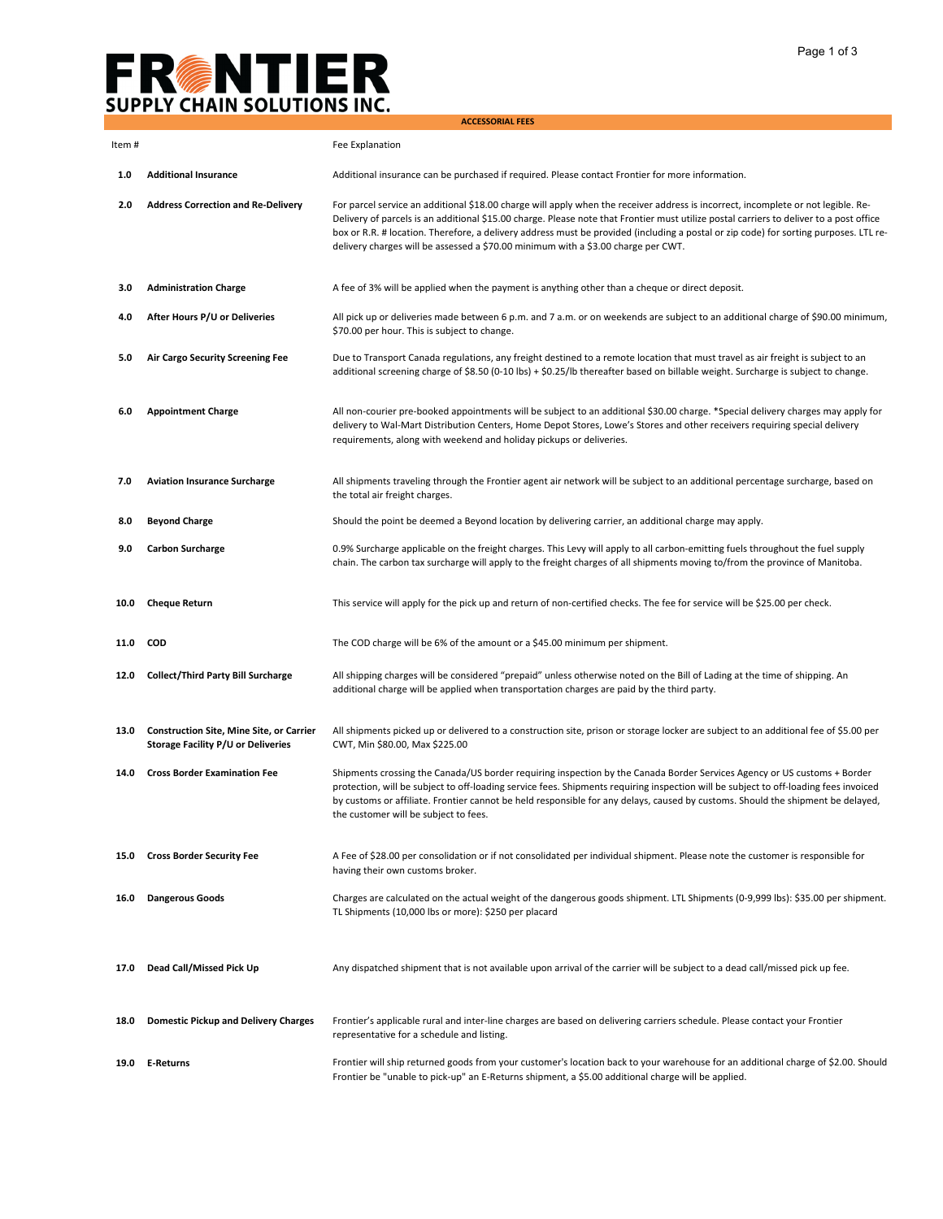## **FREATIER**<br>SUPPLY CHAIN SOLUTIONS INC.

|        |                                                                                       | <b>ACCESSORIAL FEES</b>                                                                                                                                                                                                                                                                                                                                                                                                                                                                                    |
|--------|---------------------------------------------------------------------------------------|------------------------------------------------------------------------------------------------------------------------------------------------------------------------------------------------------------------------------------------------------------------------------------------------------------------------------------------------------------------------------------------------------------------------------------------------------------------------------------------------------------|
| Item # |                                                                                       | Fee Explanation                                                                                                                                                                                                                                                                                                                                                                                                                                                                                            |
| 1.0    | <b>Additional Insurance</b>                                                           | Additional insurance can be purchased if required. Please contact Frontier for more information.                                                                                                                                                                                                                                                                                                                                                                                                           |
| 2.0    | <b>Address Correction and Re-Delivery</b>                                             | For parcel service an additional \$18.00 charge will apply when the receiver address is incorrect, incomplete or not legible. Re-<br>Delivery of parcels is an additional \$15.00 charge. Please note that Frontier must utilize postal carriers to deliver to a post office<br>box or R.R. # location. Therefore, a delivery address must be provided (including a postal or zip code) for sorting purposes. LTL re-<br>delivery charges will be assessed a \$70.00 minimum with a \$3.00 charge per CWT. |
| 3.0    | <b>Administration Charge</b>                                                          | A fee of 3% will be applied when the payment is anything other than a cheque or direct deposit.                                                                                                                                                                                                                                                                                                                                                                                                            |
| 4.0    | After Hours P/U or Deliveries                                                         | All pick up or deliveries made between 6 p.m. and 7 a.m. or on weekends are subject to an additional charge of \$90.00 minimum,<br>\$70.00 per hour. This is subject to change.                                                                                                                                                                                                                                                                                                                            |
| 5.0    | Air Cargo Security Screening Fee                                                      | Due to Transport Canada regulations, any freight destined to a remote location that must travel as air freight is subject to an<br>additional screening charge of \$8.50 (0-10 lbs) + \$0.25/lb thereafter based on billable weight. Surcharge is subject to change.                                                                                                                                                                                                                                       |
| 6.0    | <b>Appointment Charge</b>                                                             | All non-courier pre-booked appointments will be subject to an additional \$30.00 charge. *Special delivery charges may apply for<br>delivery to Wal-Mart Distribution Centers, Home Depot Stores, Lowe's Stores and other receivers requiring special delivery<br>requirements, along with weekend and holiday pickups or deliveries.                                                                                                                                                                      |
| 7.0    | <b>Aviation Insurance Surcharge</b>                                                   | All shipments traveling through the Frontier agent air network will be subject to an additional percentage surcharge, based on<br>the total air freight charges.                                                                                                                                                                                                                                                                                                                                           |
| 8.0    | <b>Beyond Charge</b>                                                                  | Should the point be deemed a Beyond location by delivering carrier, an additional charge may apply.                                                                                                                                                                                                                                                                                                                                                                                                        |
| 9.0    | <b>Carbon Surcharge</b>                                                               | 0.9% Surcharge applicable on the freight charges. This Levy will apply to all carbon-emitting fuels throughout the fuel supply<br>chain. The carbon tax surcharge will apply to the freight charges of all shipments moving to/from the province of Manitoba.                                                                                                                                                                                                                                              |
| 10.0   | <b>Cheque Return</b>                                                                  | This service will apply for the pick up and return of non-certified checks. The fee for service will be \$25.00 per check.                                                                                                                                                                                                                                                                                                                                                                                 |
| 11.0   | COD                                                                                   | The COD charge will be 6% of the amount or a \$45.00 minimum per shipment.                                                                                                                                                                                                                                                                                                                                                                                                                                 |
| 12.0   | <b>Collect/Third Party Bill Surcharge</b>                                             | All shipping charges will be considered "prepaid" unless otherwise noted on the Bill of Lading at the time of shipping. An<br>additional charge will be applied when transportation charges are paid by the third party.                                                                                                                                                                                                                                                                                   |
| 13.0   | <b>Construction Site, Mine Site, or Carrier</b><br>Storage Facility P/U or Deliveries | All shipments picked up or delivered to a construction site, prison or storage locker are subject to an additional fee of \$5.00 per<br>CWT, Min \$80.00, Max \$225.00                                                                                                                                                                                                                                                                                                                                     |
| 14.0   | <b>Cross Border Examination Fee</b>                                                   | Shipments crossing the Canada/US border requiring inspection by the Canada Border Services Agency or US customs + Border<br>protection, will be subject to off-loading service fees. Shipments requiring inspection will be subject to off-loading fees invoiced<br>by customs or affiliate. Frontier cannot be held responsible for any delays, caused by customs. Should the shipment be delayed,<br>the customer will be subject to fees.                                                               |
| 15.0   | <b>Cross Border Security Fee</b>                                                      | A Fee of \$28.00 per consolidation or if not consolidated per individual shipment. Please note the customer is responsible for<br>having their own customs broker.                                                                                                                                                                                                                                                                                                                                         |
| 16.0   | <b>Dangerous Goods</b>                                                                | Charges are calculated on the actual weight of the dangerous goods shipment. LTL Shipments (0-9,999 lbs): \$35.00 per shipment.<br>TL Shipments (10,000 lbs or more): \$250 per placard                                                                                                                                                                                                                                                                                                                    |
| 17.0   | Dead Call/Missed Pick Up                                                              | Any dispatched shipment that is not available upon arrival of the carrier will be subject to a dead call/missed pick up fee.                                                                                                                                                                                                                                                                                                                                                                               |
| 18.0   | <b>Domestic Pickup and Delivery Charges</b>                                           | Frontier's applicable rural and inter-line charges are based on delivering carriers schedule. Please contact your Frontier<br>representative for a schedule and listing.                                                                                                                                                                                                                                                                                                                                   |
| 19.0   | E-Returns                                                                             | Frontier will ship returned goods from your customer's location back to your warehouse for an additional charge of \$2.00. Should<br>Frontier be "unable to pick-up" an E-Returns shipment, a \$5.00 additional charge will be applied.                                                                                                                                                                                                                                                                    |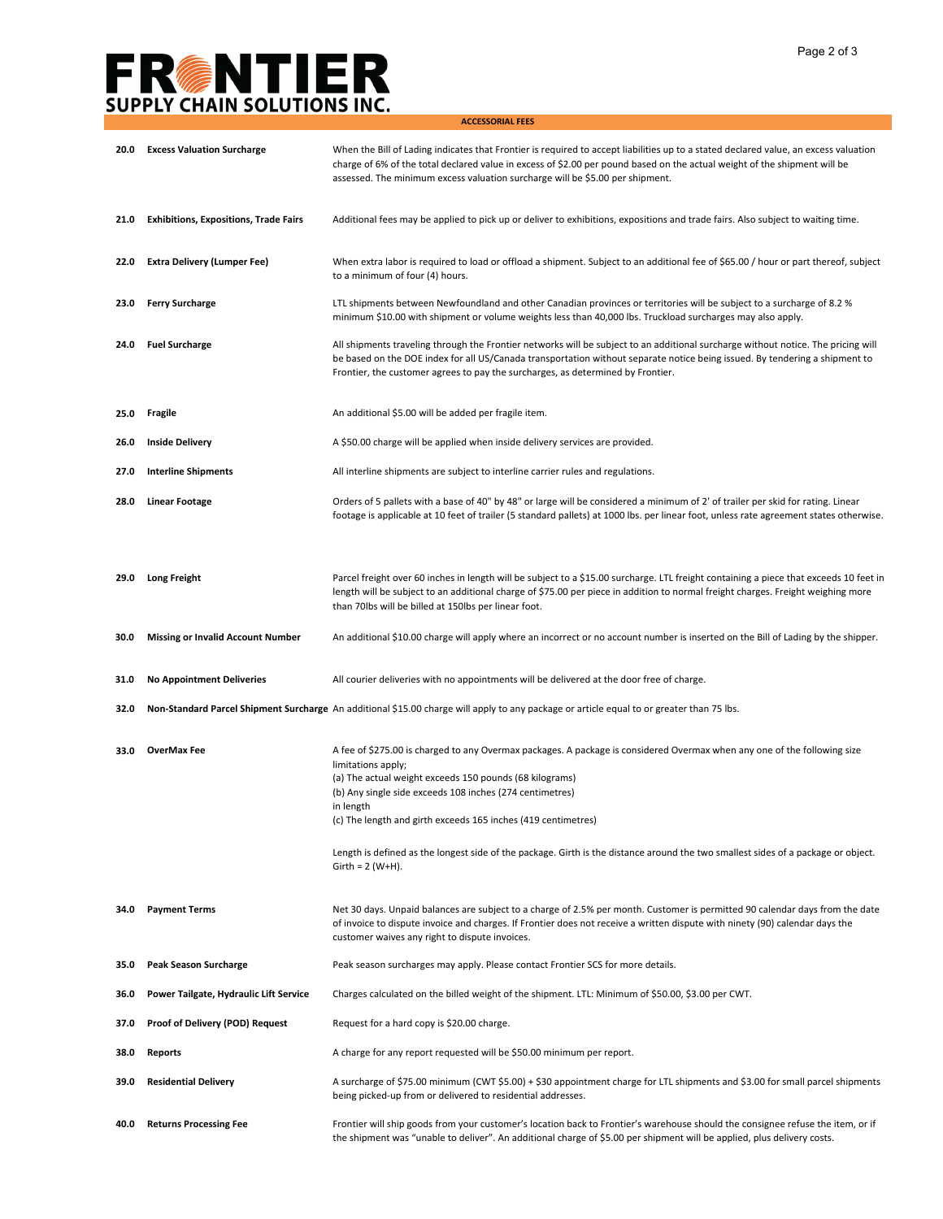## **FRENTIER**<br>SUPPLY CHAIN SOLUTIONS INC.

**ACCESSORIAL FEES**

| 20.0 | <b>Excess Valuation Surcharge</b>            | When the Bill of Lading indicates that Frontier is required to accept liabilities up to a stated declared value, an excess valuation<br>charge of 6% of the total declared value in excess of \$2.00 per pound based on the actual weight of the shipment will be<br>assessed. The minimum excess valuation surcharge will be \$5.00 per shipment.  |
|------|----------------------------------------------|-----------------------------------------------------------------------------------------------------------------------------------------------------------------------------------------------------------------------------------------------------------------------------------------------------------------------------------------------------|
| 21.0 | <b>Exhibitions, Expositions, Trade Fairs</b> | Additional fees may be applied to pick up or deliver to exhibitions, expositions and trade fairs. Also subject to waiting time.                                                                                                                                                                                                                     |
| 22.0 | <b>Extra Delivery (Lumper Fee)</b>           | When extra labor is required to load or offload a shipment. Subject to an additional fee of \$65.00 / hour or part thereof, subject<br>to a minimum of four (4) hours.                                                                                                                                                                              |
| 23.0 | <b>Ferry Surcharge</b>                       | LTL shipments between Newfoundland and other Canadian provinces or territories will be subject to a surcharge of 8.2 %<br>minimum \$10.00 with shipment or volume weights less than 40,000 lbs. Truckload surcharges may also apply.                                                                                                                |
| 24.0 | <b>Fuel Surcharge</b>                        | All shipments traveling through the Frontier networks will be subject to an additional surcharge without notice. The pricing will<br>be based on the DOE index for all US/Canada transportation without separate notice being issued. By tendering a shipment to<br>Frontier, the customer agrees to pay the surcharges, as determined by Frontier. |
| 25.0 | Fragile                                      | An additional \$5.00 will be added per fragile item.                                                                                                                                                                                                                                                                                                |
| 26.0 | <b>Inside Delivery</b>                       | A \$50.00 charge will be applied when inside delivery services are provided.                                                                                                                                                                                                                                                                        |
| 27.0 | <b>Interline Shipments</b>                   | All interline shipments are subject to interline carrier rules and regulations.                                                                                                                                                                                                                                                                     |
| 28.0 | Linear Footage                               | Orders of 5 pallets with a base of 40" by 48" or large will be considered a minimum of 2' of trailer per skid for rating. Linear<br>footage is applicable at 10 feet of trailer (5 standard pallets) at 1000 lbs. per linear foot, unless rate agreement states otherwise.                                                                          |
| 29.0 | <b>Long Freight</b>                          | Parcel freight over 60 inches in length will be subject to a \$15.00 surcharge. LTL freight containing a piece that exceeds 10 feet in<br>length will be subject to an additional charge of \$75.00 per piece in addition to normal freight charges. Freight weighing more<br>than 70lbs will be billed at 150lbs per linear foot.                  |
| 30.0 | <b>Missing or Invalid Account Number</b>     | An additional \$10.00 charge will apply where an incorrect or no account number is inserted on the Bill of Lading by the shipper.                                                                                                                                                                                                                   |
| 31.0 | <b>No Appointment Deliveries</b>             | All courier deliveries with no appointments will be delivered at the door free of charge.                                                                                                                                                                                                                                                           |
| 32.0 |                                              | Non-Standard Parcel Shipment Surcharge An additional \$15.00 charge will apply to any package or article equal to or greater than 75 lbs.                                                                                                                                                                                                           |
| 33.0 | <b>OverMax Fee</b>                           | A fee of \$275.00 is charged to any Overmax packages. A package is considered Overmax when any one of the following size<br>limitations apply;<br>(a) The actual weight exceeds 150 pounds (68 kilograms)<br>(b) Any single side exceeds 108 inches (274 centimetres)<br>in length<br>(c) The length and girth exceeds 165 inches (419 centimetres) |
|      |                                              | Length is defined as the longest side of the package. Girth is the distance around the two smallest sides of a package or object.<br>$Girth = 2 (W+H).$                                                                                                                                                                                             |
| 34.0 | <b>Payment Terms</b>                         | Net 30 days. Unpaid balances are subject to a charge of 2.5% per month. Customer is permitted 90 calendar days from the date<br>of invoice to dispute invoice and charges. If Frontier does not receive a written dispute with ninety (90) calendar days the<br>customer waives any right to dispute invoices.                                      |
| 35.0 | <b>Peak Season Surcharge</b>                 | Peak season surcharges may apply. Please contact Frontier SCS for more details.                                                                                                                                                                                                                                                                     |
| 36.0 | Power Tailgate, Hydraulic Lift Service       | Charges calculated on the billed weight of the shipment. LTL: Minimum of \$50.00, \$3.00 per CWT.                                                                                                                                                                                                                                                   |
| 37.0 | <b>Proof of Delivery (POD) Request</b>       | Request for a hard copy is \$20.00 charge.                                                                                                                                                                                                                                                                                                          |
| 38.0 | <b>Reports</b>                               | A charge for any report requested will be \$50.00 minimum per report.                                                                                                                                                                                                                                                                               |
| 39.0 | <b>Residential Delivery</b>                  | A surcharge of \$75.00 minimum (CWT \$5.00) + \$30 appointment charge for LTL shipments and \$3.00 for small parcel shipments<br>being picked-up from or delivered to residential addresses.                                                                                                                                                        |
| 40.0 | <b>Returns Processing Fee</b>                | Frontier will ship goods from your customer's location back to Frontier's warehouse should the consignee refuse the item, or if<br>the shipment was "unable to deliver". An additional charge of \$5.00 per shipment will be applied, plus delivery costs.                                                                                          |